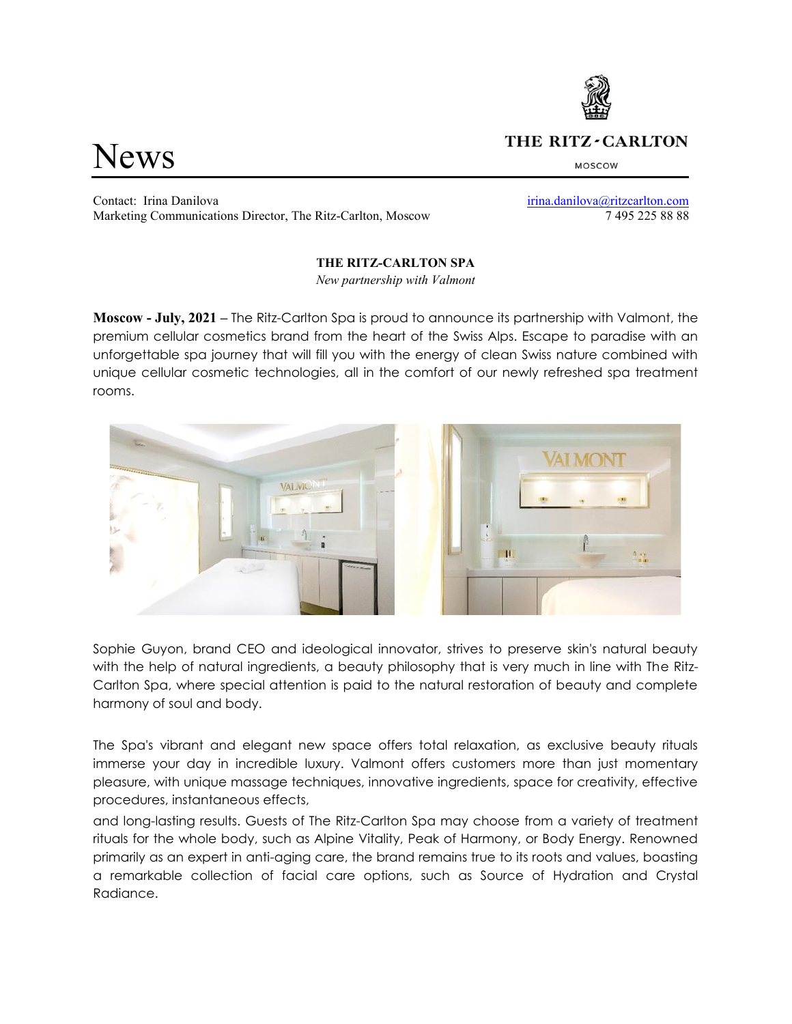# News

## THE RITZ-CARLTON

MOSCOW

Contact: Irina Danilova [irina.danilova@ritzcarlton.com](mailto:irina.danilova@ritzcarlton.com) Marketing Communications Director, The Ritz-Carlton, Moscow 7 495 225 88 88

### **THE RITZ-CARLTON SPA**

*New partnership with Valmont*

**Moscow - July, 2021 –** The Ritz-Carlton Spa is proud to announce its partnership with Valmont, the premium cellular cosmetics brand from the heart of the Swiss Alps. Escape to paradise with an unforgettable spa journey that will fill you with the energy of clean Swiss nature combined with unique cellular cosmetic technologies, all in the comfort of our newly refreshed spa treatment rooms.



Sophie Guyon, brand CEO and ideological innovator, strives to preserve skin's natural beauty with the help of natural ingredients, a beauty philosophy that is very much in line with The Ritz-Carlton Spa, where special attention is paid to the natural restoration of beauty and complete harmony of soul and body.

The Spa's vibrant and elegant new space offers total relaxation, as exclusive beauty rituals immerse your day in incredible luxury. Valmont offers customers more than just momentary pleasure, with unique massage techniques, innovative ingredients, space for creativity, effective procedures, instantaneous effects,

and long-lasting results. Guests of The Ritz-Carlton Spa may choose from a variety of treatment rituals for the whole body, such as Alpine Vitality, Peak of Harmony, or Body Energy. Renowned primarily as an expert in anti-aging care, the brand remains true to its roots and values, boasting a remarkable collection of facial care options, such as Source of Hydration and Crystal Radiance.